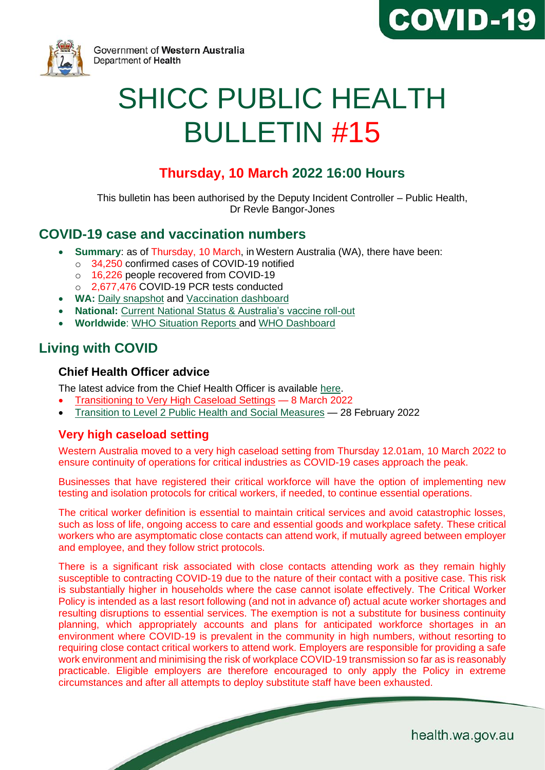



Government of Western Australia Department of Health

# SHICC PUBLIC HEALTH BULLETIN #15

# **Thursday, 10 March 2022 16:00 Hours**

This bulletin has been authorised by the Deputy Incident Controller – Public Health, Dr Revle Bangor-Jones

## **COVID-19 case and vaccination numbers**

- **Summary**: as of Thursday, 10 March, in Western Australia (WA), there have been:
	- o 34,250 confirmed cases of COVID-19 notified
	- o 16,226 people recovered from COVID-19
	- o 2,677,476 COVID-19 PCR tests conducted
- **WA:** [Daily snapshot](https://ww2.health.wa.gov.au/Articles/A_E/Coronavirus/COVID19-statistics) and [Vaccination dashboard](https://www.wa.gov.au/organisation/covid-communications/covid-19-coronavirus-vaccination-dashboard)
- **National:** [Current National Status](https://www.health.gov.au/resources/publications/coronavirus-covid-19-at-a-glance) & [Australia's vaccine roll-out](https://www.health.gov.au/initiatives-and-programs/covid-19-vaccines/getting-vaccinated-for-covid-19#australias-vaccine-rollout.)
- **Worldwide**: [WHO Situation Reports](https://www.who.int/emergencies/diseases/novel-coronavirus-2019/situation-reports/) and [WHO Dashboard](https://covid19.who.int/?gclid=Cj0KCQjwoub3BRC6ARIsABGhnybJf9dNByiYKpY3Qg0cJoqEyKjTplKEgxKirThnHr726rZlvWG9ZVoaAo6FEALw_wcB)

# **Living with COVID**

#### **Chief Health Officer advice**

The [latest advice](https://www.wa.gov.au/organisation/covid-communications/covid-19-coronavirus-chief-health-officer-advice) from the Chief Health Officer is available [here.](https://www.wa.gov.au/organisation/covid-communications/covid-19-coronavirus-chief-health-officer-advice)

- [Transitioning to Very High Caseload Settings](https://www.wa.gov.au/system/files/2022-03/CHO-HA-08032022.pdf) 8 March 2022
- [Transition to Level 2 Public Health and Social Measures](https://www.wa.gov.au/system/files/2022-02/CHO-HA-28022022.pdf) 28 February 2022

## **Very high caseload setting**

Western Australia moved to a very high caseload setting from Thursday 12.01am, 10 March 2022 to ensure continuity of operations for critical industries as COVID-19 cases approach the peak.

Businesses that have registered their critical workforce will have the option of implementing new testing and isolation protocols for critical workers, if needed, to continue essential operations.

The critical worker definition is essential to maintain critical services and avoid catastrophic losses, such as loss of life, ongoing access to care and essential goods and workplace safety. These critical workers who are asymptomatic close contacts can attend work, if mutually agreed between employer and employee, and they follow strict protocols.

There is a significant risk associated with close contacts attending work as they remain highly susceptible to contracting COVID-19 due to the nature of their contact with a positive case. This risk is substantially higher in households where the case cannot isolate effectively. The Critical Worker Policy is intended as a last resort following (and not in advance of) actual acute worker shortages and resulting disruptions to essential services. The exemption is not a substitute for business continuity planning, which appropriately accounts and plans for anticipated workforce shortages in an environment where COVID-19 is prevalent in the community in high numbers, without resorting to requiring close contact critical workers to attend work. Employers are responsible for providing a safe work environment and minimising the risk of workplace COVID-19 transmission so far as is reasonably practicable. Eligible employers are therefore encouraged to only apply the Policy in extreme circumstances and after all attempts to deploy substitute staff have been exhausted.

health.wa.gov.au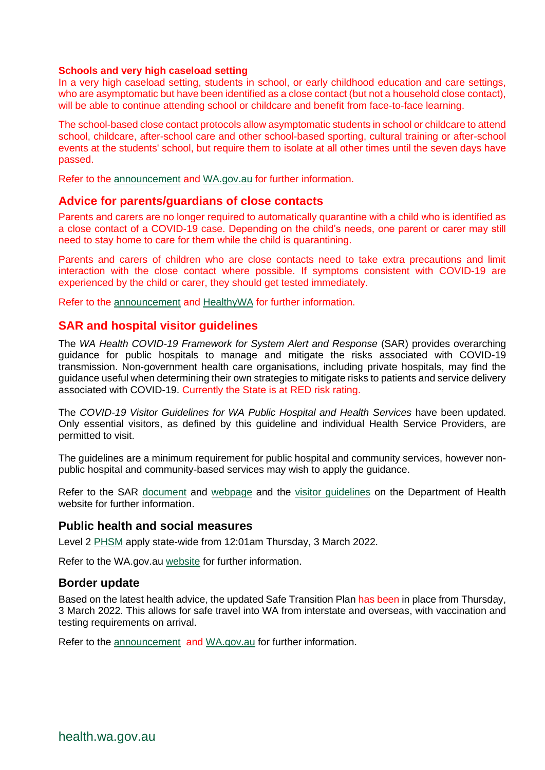#### **Schools and very high caseload setting**

In a very high caseload setting, students in school, or early childhood education and care settings, who are asymptomatic but have been identified as a close contact (but not a household close contact), will be able to continue attending school or childcare and benefit from face-to-face learning.

The school-based close contact protocols allow asymptomatic students in school or childcare to attend school, childcare, after-school care and other school-based sporting, cultural training or after-school events at the students' school, but require them to isolate at all other times until the seven days have passed.

Refer to the [announcement](https://www.wa.gov.au/government/announcements/very-high-caseload-settings-introduced-western-australia#schools-and-childhood-education) and [WA.gov.au](https://www.wa.gov.au/government/covid-19-coronavirus/covid-19-coronavirus-critical-worker-furloughing) for further information.

#### **Advice for parents/guardians of close contacts**

Parents and carers are no longer required to automatically quarantine with a child who is identified as a close contact of a COVID-19 case. Depending on the child's needs, one parent or carer may still need to stay home to care for them while the child is quarantining.

Parents and carers of children who are close contacts need to take extra precautions and limit interaction with the close contact where possible. If symptoms consistent with COVID-19 are experienced by the child or carer, they should get tested immediately.

Refer to the [announcement](https://www.healthywa.wa.gov.au/News/2022/New-health-advice-for-close-contacts-linked-to-WA-schools) and [HealthyWA](https://www.healthywa.wa.gov.au/Articles/A_E/Coronavirus/COVID19-close-contacts) for further information.

#### **SAR and hospital visitor guidelines**

The *WA Health COVID-19 Framework for System Alert and Response* (SAR) provides overarching guidance for public hospitals to manage and mitigate the risks associated with COVID-19 transmission. Non-government health care organisations, including private hospitals, may find the guidance useful when determining their own strategies to mitigate risks to patients and service delivery associated with COVID-19. Currently the State is at RED risk rating.

The *COVID-19 Visitor Guidelines for WA Public Hospital and Health Services* have been updated. Only essential visitors, as defined by this guideline and individual Health Service Providers, are permitted to visit.

The guidelines are a minimum requirement for public hospital and community services, however nonpublic hospital and community-based services may wish to apply the guidance.

Refer to the SAR [document](https://ww2.health.wa.gov.au/~/media/Corp/Documents/Health-for/Infectious-disease/COVID19/WA-Health-COVID-19-Framework-for-System-Alert-and-Response.pdf) and we[bpage](https://ww2.health.wa.gov.au/Articles/A_E/Coronavirus/COVID19-Framework-for-System-Alert-and-Response) and the [visitor guidelines](https://ww2.health.wa.gov.au/-/media/Corp/Documents/Health-for/Infectious-disease/COVID19/COVID19-Public-hospital-visitor-guidelines.pdf) on the Department of Health website for further information.

#### **Public health and social measures**

[Level 2](https://www.wa.gov.au/government/announcements/level-2-public-health-measures-introduced-state-wide-thursday-3-march) [PHSM](https://www.wa.gov.au/government/announcements/level-2-public-health-measures-introduced-state-wide-thursday-3-march) apply state-wide from 12:01am Thursday, 3 March 2022.

Refer to the WA.gov.au [website](https://www.wa.gov.au/government/covid-19-coronavirus/covid-19-coronavirus-what-you-can-and-cant-do) for further information.

#### **Border update**

Based on the latest health advice, the updated Safe Transition Plan has been in place from Thursday, 3 March 2022. This allows for safe travel into WA from interstate and overseas, with vaccination and testing requirements on arrival.

Refer to the [announcement](https://www.wa.gov.au/government/announcements/was-border-opening-thursday-3-march-2022) and [WA.gov.au](https://www.wa.gov.au/government/covid-19-coronavirus/covid-19-coronavirus-travel-wa) for further information.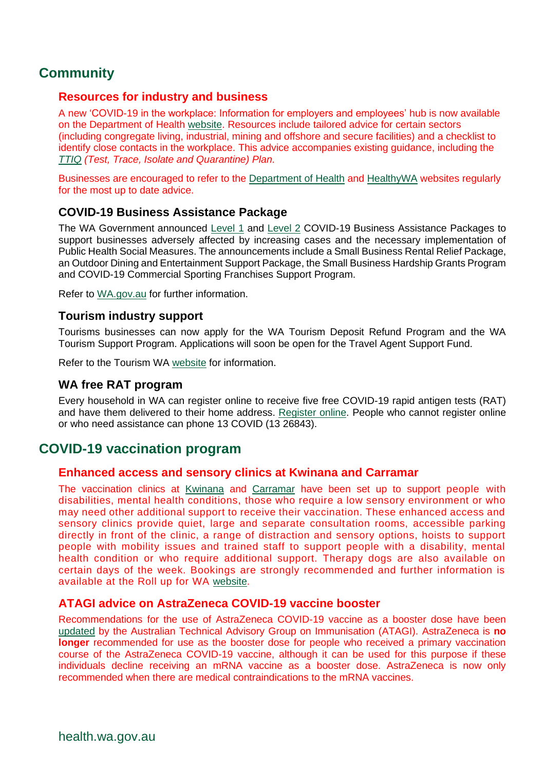# **Community**

#### **Resources for industry and business**

A new 'COVID-19 in the workplace: Information for employers and employees' hub is now available on the Department of Health [website.](https://ww2.health.wa.gov.au/Articles/A_E/Coronavirus/COVID19-information-for-business-and-industry/COVID19-in-the-workplace-Information-for-employers-and-employees) Resources include tailored advice for certain sectors (including congregate living, industrial, mining and offshore and secure facilities) and a checklist to identify close contacts in the workplace. This advice accompanies existing guidance, including the *[TTIQ](https://ww2.health.wa.gov.au/Articles/A_E/Coronavirus/COVID19-information-for-business-and-industry/TTIQ-plan) (Test, Trace, Isolate and Quarantine) Plan.*

Businesses are encouraged to refer to the [Department of Health](https://ww2.health.wa.gov.au/Articles/A_E/Coronavirus/COVID19-information-for-business-and-industry/COVID19-in-the-workplace-Information-for-employers-and-employees) and [HealthyWA](https://www.healthywa.wa.gov.au/Articles/A_E/Coronavirus) websites regularly for the most up to date advice.

#### **COVID-19 Business Assistance Package**

The WA Government announced [Level 1](https://www.wa.gov.au/government/announcements/level-1-covid-19-business-assistance-package) and [Level 2](https://www.wa.gov.au/government/announcements/level-2-covid-19-business-assistance-package-support-western-australian-businesses) COVID-19 Business Assistance Packages to support businesses adversely affected by increasing cases and the necessary implementation of Public Health Social Measures. The announcements include a Small Business Rental Relief Package, an Outdoor Dining and Entertainment Support Package, the Small Business Hardship Grants Program and COVID-19 Commercial Sporting Franchises Support Program.

Refer to [WA.gov.au](https://www.wa.gov.au/government/covid-19-coronavirus/covid-19-coronavirus-support-business) for further information.

#### **Tourism industry support**

Tourisms businesses can now apply for the WA Tourism Deposit Refund Program and the WA Tourism Support Program. Applications will soon be open for the Travel Agent Support Fund.

Refer to the Tourism WA [website](https://www.tourism.wa.gov.au/industry-support-and-events/resources-for-businesses-and-operators/Coronavirus/Pages/WA-Tourism-Funding-Programs.aspx#/) for information.

#### **WA free RAT program**

Every household in WA can register online to receive five free COVID-19 rapid antigen tests (RAT) and have them delivered to their home address. [Register](https://www.wa.gov.au/government/covid-19-coronavirus/covid-19-coronavirus-wa-free-rat-program) online. People who cannot register online or who need assistance can phone 13 COVID (13 26843).

## **COVID-19 vaccination program**

#### **Enhanced access and sensory clinics at Kwinana and Carramar**

The vaccination clinics at [Kwinana](https://rollup.wa.gov.au/articles/kwinana-supa-centre-covid-19-vaccination-community-clinic) and [Carramar](https://rollup.wa.gov.au/articles/carramar-covid-19-vaccination-community-clinic) have been set up to support people with disabilities, mental health conditions, those who require a low sensory environment or who may need other additional support to receive their vaccination. These enhanced access and sensory clinics provide quiet, large and separate consultation rooms, accessible parking directly in front of the clinic, a range of distraction and sensory options, hoists to support people with mobility issues and trained staff to support people with a disability, mental health condition or who require additional support. Therapy dogs are also available on certain days of the week. Bookings are strongly recommended and further information is available at the Roll up for WA [website.](https://rollup.wa.gov.au/articles/vaccine-information-for-people-with-a-disability-or-require-additional-support)

#### **ATAGI advice on AstraZeneca COVID-19 vaccine booster**

Recommendations for the use of AstraZeneca COVID-19 vaccine as a booster dose have been [updated](https://www.health.gov.au/sites/default/files/documents/2022/03/atagi-recommendations-on-the-use-of-a-booster-dose-of-covid-19-vaccine.pdf) by the Australian Technical Advisory Group on Immunisation [\(ATAGI\)](https://www.health.gov.au/sites/default/files/documents/2022/03/atagi-recommendations-on-the-use-of-a-booster-dose-of-covid-19-vaccine.pdf). AstraZeneca is **no**  longer recommended for use as the booster dose for people who received a primary vaccination course of the AstraZeneca COVID-19 vaccine, although it can be used for this purpose if these individuals decline receiving an mRNA vaccine as a booster dose. AstraZeneca is now only recommended when there are medical contraindications to the mRNA vaccines.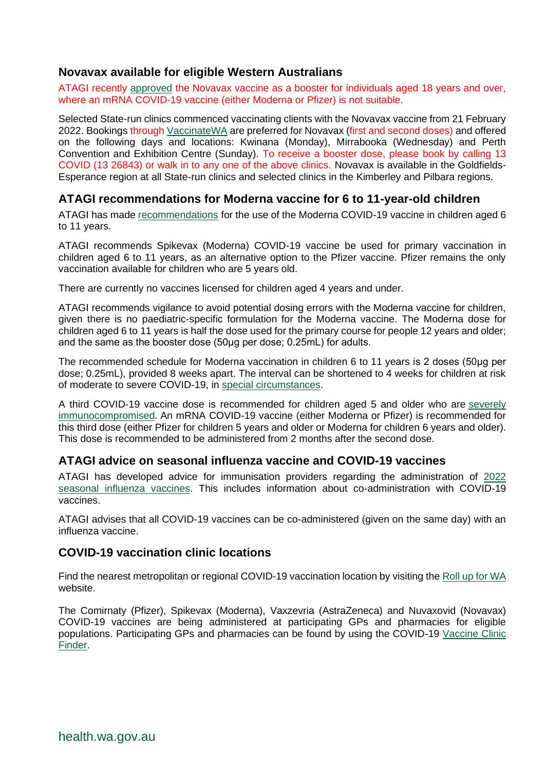### **Novavax available for eligible Western Australians**

ATAGI recently [approved](https://www.health.gov.au/sites/default/files/documents/2022/03/atagi-recommendations-on-the-use-of-a-booster-dose-of-covid-19-vaccine.pdf) the Novavax vaccine as a booster for individuals aged 18 years and over, where an mRNA COVID-19 vaccine (either Moderna or Pfizer) is not suitable.

Selected State-run clinics commenced vaccinating clients with the Novavax vaccine from 21 February 2022. Bookings through [VaccinateWA](https://vaccinatewa.health.wa.gov.au/s/login/?ec=302&startURL=%2Fs%2F) are preferred for Novavax (first and second doses) and offered on the following days and locations: Kwinana (Monday), Mirrabooka (Wednesday) and Perth Convention and Exhibition Centre (Sunday). To receive a booster dose, please book by calling 13 COVID (13 26843) or walk in to any one of the above clinics. Novavax is available in the Goldfields-Esperance region at all State-run clinics and selected clinics in the Kimberley and Pilbara regions.

## **ATAGI recommendations for Moderna vaccine for 6 to 11-year-old children**

ATAGI has made [recommendations](https://www.health.gov.au/news/atagi-recommendations-on-the-use-of-spikevax-moderna-covid-19-vaccine-in-children-aged-6-to-11-years) for the use of the Moderna COVID-19 vaccine in children aged 6 to 11 years.

ATAGI recommends Spikevax (Moderna) COVID-19 vaccine be used for primary vaccination in children aged 6 to 11 years, as an alternative option to the Pfizer vaccine. Pfizer remains the only vaccination available for children who are 5 years old.

There are currently no vaccines licensed for children aged 4 years and under.

ATAGI recommends vigilance to avoid potential dosing errors with the Moderna vaccine for children, given there is no paediatric-specific formulation for the Moderna vaccine. The Moderna dose for children aged 6 to 11 years is half the dose used for the primary course for people 12 years and older; and the same as the booster dose (50μg per dose; 0.25mL) for adults.

The recommended schedule for Moderna vaccination in children 6 to 11 years is 2 doses (50μg per dose; 0.25mL), provided 8 weeks apart. The interval can be shortened to 4 weeks for children at risk of moderate to severe COVID-19, in [special circumstances.](https://www.health.gov.au/initiatives-and-programs/covid-19-vaccines/advice-for-providers/clinical-guidance/clinical-features)

A third COVID-19 vaccine dose is recommended for children aged 5 and older who are severely [immunocompromised.](https://www.health.gov.au/resources/publications/atagi-recommendations-on-the-use-of-a-third-primary-dose-of-covid-19-vaccine-in-individuals-who-are-severely-immunocompromised) An mRNA COVID-19 vaccine (either Moderna or Pfizer) is recommended for this third dose (either Pfizer for children 5 years and older or Moderna for children 6 years and older). This dose is recommended to be administered from 2 months after the second dose.

#### **ATAGI advice on seasonal influenza vaccine and COVID-19 vaccines**

ATAGI has developed advice for immunisation providers regarding the administration of [2022](https://www.health.gov.au/resources/publications/atagi-advice-on-seasonal-influenza-vaccines-in-2022)  [seasonal influenza vaccines.](https://www.health.gov.au/resources/publications/atagi-advice-on-seasonal-influenza-vaccines-in-2022) This includes information about co-administration with COVID-19 vaccines.

ATAGI advises that all COVID-19 vaccines can be co-administered (given on the same day) with an influenza vaccine.

#### **COVID-19 vaccination clinic locations**

Find the nearest metropolitan or regional COVID-19 vaccination location by visiting the [Roll up for WA](https://rollup.wa.gov.au/locations) website.

The Comirnaty (Pfizer), Spikevax (Moderna), Vaxzevria (AstraZeneca) and Nuvaxovid (Novavax) COVID-19 vaccines are being administered at participating GPs and pharmacies for eligible populations. Participating GPs and pharmacies can be found by using the COVID-19 [Vaccine Clinic](https://www.health.gov.au/resources/apps-and-tools/covid-19-vaccine-clinic-finder)  [Finder.](https://www.health.gov.au/resources/apps-and-tools/covid-19-vaccine-clinic-finder)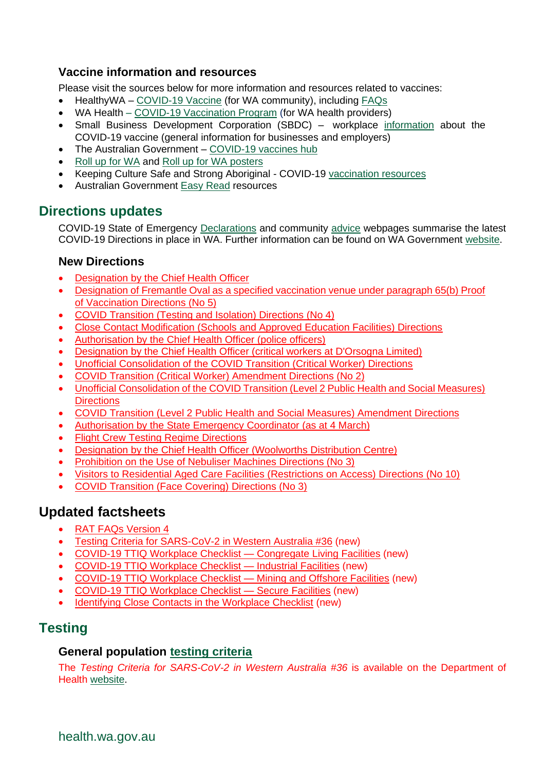## **Vaccine information and resources**

Please visit the sources below for more information and resources related to vaccines:

- HealthyWA [COVID-19 Vaccine](https://ww2.health.wa.gov.au/sitecore/content/Healthy-WA/Articles/A_E/Coronavirus/COVID19-vaccine) (for WA community), including [FAQs](https://ww2.health.wa.gov.au/sitecore/content/Healthy-WA/Articles/A_E/Coronavirus/COVID19-vaccine/FAQs)
- WA Health [COVID-19 Vaccination Program](https://ww2.health.wa.gov.au/Articles/A_E/Coronavirus/COVID19-vaccination-program) (for WA health providers)
- Small Business Development Corporation (SBDC) workplace [information](https://www.smallbusiness.wa.gov.au/coronavirus/employee-vaccination) about the COVID-19 vaccine (general information for businesses and employers)
- The Australian Government [COVID-19 vaccines hub](https://www.health.gov.au/initiatives-and-programs/covid-19-vaccines)
- Roll [up for WA](https://rollup.wa.gov.au/) and Roll [up for WA posters](https://www.dlgsc.wa.gov.au/department/news/news-article/2021/06/09/roll-up-for-wa-posters)
- Keeping Culture Safe and Strong Aboriginal COVID-19 [vaccination resources](https://www.ahcwa.org.au/vaccineresources)
- Australian Government [Easy Read](https://www.health.gov.au/resources/collections/covid-19-vaccination-easy-read-resources) resources

## **Directions updates**

COVID-19 State of Emergency [Declarations](https://www.wa.gov.au/government/document-collections/covid-19-coronavirus-state-of-emergency-declarations) and community [advice](https://www.wa.gov.au/organisation/department-of-the-premier-and-cabinet/covid-19-coronavirus-community-advice) webpages summarise the latest COVID-19 Directions in place in WA. Further information can be found on WA Government [website.](https://www.wa.gov.au/government/covid-19-coronavirus)

## **New Directions**

- [Designation by the Chief Health Officer](https://www.wa.gov.au/government/publications/designation-the-chief-health-officer-0)
- Designation of Fremantle Oval as a specified vaccination venue under paragraph 65(b) Proof [of Vaccination Directions \(No 5\)](https://www.wa.gov.au/government/publications/designation-of-fremantle-oval-specified-vaccination-venue-under-paragraph-65b-proof-of-vaccination-directions-no-5)
- [COVID Transition \(Testing and Isolation\) Directions \(No 4\)](https://www.wa.gov.au/government/publications/covid-transition-testing-and-isolation-directions-no-4)
- [Close Contact Modification \(Schools and Approved Education Facilities\) Directions](https://www.wa.gov.au/government/publications/close-contact-modification-schools-and-approved-education-facilities-directions)
- [Authorisation by the Chief Health Officer \(police officers\)](https://www.wa.gov.au/government/publications/authorisation-the-chief-health-officer-police-officers)
- [Designation by the Chief Health Officer \(critical workers at D'Orsogna Limited\)](https://www.wa.gov.au/government/publications/designation-the-chief-health-officer-critical-workers-dorsogna-limited)
- [Unofficial Consolidation of the COVID Transition \(Critical Worker\) Directions](https://www.wa.gov.au/government/publications/unofficial-consolidation-of-the-covid-transition-critical-worker-directions-0)
- [COVID Transition \(Critical Worker\) Amendment Directions \(No 2\)](https://www.wa.gov.au/government/publications/covid-transition-critical-worker-amendment-directions-no-2)
- [Unofficial Consolidation of the COVID Transition \(Level 2 Public Health and Social Measures\)](https://www.wa.gov.au/government/publications/unofficial-consolidation-of-the-covid-transition-level-2-public-health-and-social-measures-directions)  **[Directions](https://www.wa.gov.au/government/publications/unofficial-consolidation-of-the-covid-transition-level-2-public-health-and-social-measures-directions)**
- [COVID Transition \(Level 2 Public Health and Social Measures\) Amendment Directions](https://www.wa.gov.au/government/publications/covid-transition-level-2-public-health-and-social-measures-amendment-directions)
- [Authorisation by the State Emergency Coordinator \(as at 4 March\)](https://www.wa.gov.au/government/publications/authorisation-the-state-emergency-coordinator-4-march)
- [Flight Crew Testing Regime Directions](https://www.wa.gov.au/government/publications/flight-crew-testing-regime-directions)
- [Designation by the Chief Health Officer \(Woolworths Distribution Centre\)](https://www.wa.gov.au/government/publications/designation-the-chief-health-officer)
- [Prohibition on the Use of Nebuliser Machines Directions \(No 3\)](https://www.wa.gov.au/government/publications/prohibition-the-use-of-nebuliser-machines-directions-no-3)
- [Visitors to Residential Aged Care Facilities \(Restrictions on Access\) Directions \(No 10\)](https://www.wa.gov.au/government/publications/visitors-residential-aged-care-facilities-restrictions-access-directions-no-10)
- [COVID Transition \(Face Covering\) Directions \(No 3\)](https://www.wa.gov.au/government/publications/covid-transition-face-covering-directions-no-3)

# **Updated factsheets**

- [RAT FAQs Version 4](https://www.healthywa.wa.gov.au/~/media/Corp/Documents/Health-for/Infectious-disease/COVID19/RAT-FAQ_V3.pdf)
- [Testing Criteria for SARS-CoV-2 in Western Australia #36](https://ww2.health.wa.gov.au/~/media/Corp/Documents/Health-for/Infectious-disease/COVID19/COVID19-Testing-Criteria-for-SARS-CoV-2-WA-36.pdf) (new)
- [COVID-19 TTIQ Workplace Checklist](https://ww2.health.wa.gov.au/~/media/Corp/Documents/Health-for/Infectious-disease/COVID19/Industry-Checklist/20220304---TTIQ-Workplace-Checklist-Congregate-Living-Facilities---V1---Public-Information-Cell.pdf) Congregate Living Facilities (new)
- [COVID-19 TTIQ Workplace Checklist —](https://ww2.health.wa.gov.au/~/media/Corp/Documents/Health-for/Infectious-disease/COVID19/Industry-Checklist/20220304---TTIQ-Workplace-Checklist-Industrial-Facilities---V1----Public-Information.pdf) Industrial Facilities (new)
- [COVID-19 TTIQ Workplace Checklist —](https://ww2.health.wa.gov.au/~/media/Corp/Documents/Health-for/Infectious-disease/COVID19/Industry-Checklist/20220304---TTIQ-Workplace-Checklist-Mining-and-Offshore-Facilities---Public-Information-Cell.pdf) Mining and Offshore Facilities (new)
- [COVID-19 TTIQ Workplace Checklist —](https://ww2.health.wa.gov.au/~/media/Corp/Documents/Health-for/Infectious-disease/COVID19/Industry-Checklist/20220304---TTIQ-Workplace-Checklist-Secure-Facilities---V1---Public-Information-Cell.pdf) Secure Facilities (new)
- [Identifying Close Contacts in the Workplace Checklist](https://ww2.health.wa.gov.au/~/media/Corp/Documents/Health-for/Infectious-disease/COVID19/COVID19-Identifying-close-contacts-checklist-workplace.pdf) (new)

# **Testing**

## **General population [testing criteria](https://www.healthywa.wa.gov.au/sitecore/content/Corporate/Articles/A_E/Coronavirus/COVID19-information-for-health-professionals)**

The *Testing Criteria for SARS-CoV-2 in Western Australia #36* is available on the Department of Health [website.](https://www.healthywa.wa.gov.au/~/media/Corp/Documents/Health-for/Infectious-disease/COVID19/COVID19-Testing-Criteria-for-SARS-CoV-2-WA-36.pdf)